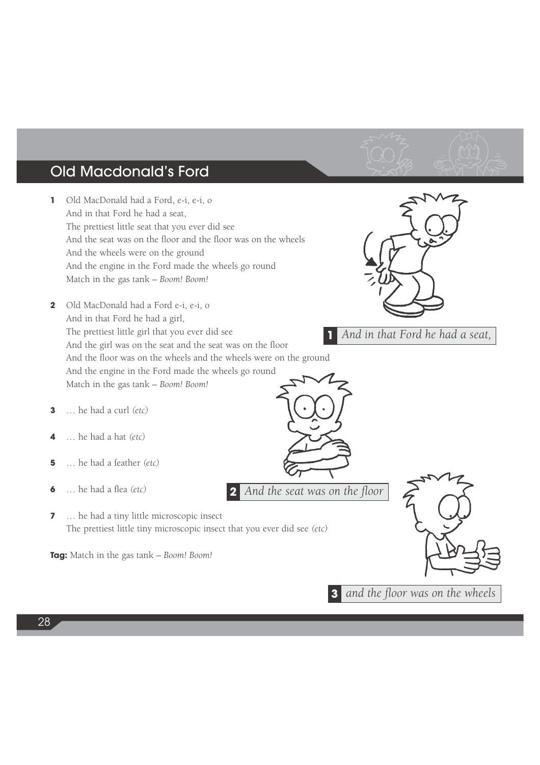## Old Macdonald's Ford

- **1** Old MacDonald had a Ford, e-i, e-i, o And in that Ford he had a seat, The prettiest little seat that you ever did see And the seat was on the floor and the floor was on the wheels And the wheels were on the ground And the engine in the Ford made the wheels go round Match in the gas tank – *Boom! Boom!*
- **2** Old MacDonald had a Ford e-i, e-i, o And in that Ford he had a girl, The prettiest little girl that you ever did see And the girl was on the seat and the seat was on the floor And the floor was on the wheels and the wheels were on the ground And the engine in the Ford made the wheels go round Match in the gas tank – *Boom! Boom!*
- **3** … he had a curl *(etc)*
- **4** … he had a hat *(etc)*
- **5** … he had a feather *(etc)*
- **6** … he had a flea *(etc)*
- **7** … he had a tiny little microscopic insect The prettiest little tiny microscopic insect that you ever did see *(etc)*

**Tag:** Match in the gas tank – *Boom! Boom!*



**1** *And in that Ford he had a seat,*



**3** *and the floor was on the wheels*

**2** *And the seat was on the floor*